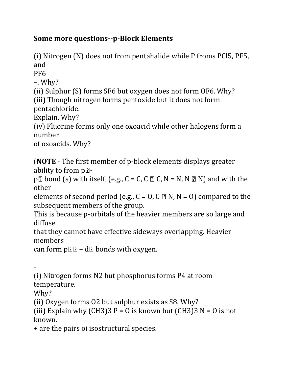#### **Some more questions--p-Block Elements**

(i) Nitrogen (N) does not from pentahalide while P froms PCl5, PF5, and

PF6

–. Why?

(ii) Sulphur (S) forms SF6 but oxygen does not form OF6. Why? (iii) Though nitrogen forms pentoxide but it does not form pentachloride.

Explain. Why?

(iv) Fluorine forms only one oxoacid while other halogens form a number

of oxoacids. Why?

(**NOTE** - The first member of p-block elements displays greater ability to from  $p \mathbb{Z}$ -

 $p \boxtimes$  bond (s) with itself, (e.g.,  $C = C$ ,  $C \boxtimes C$ ,  $N = N$ ,  $N \boxtimes N$ ) and with the other

elements of second period (e.g.,  $C = 0$ ,  $C \boxtimes N$ ,  $N = 0$ ) compared to the subsequent members of the group.

This is because p-orbitals of the heavier members are so large and diffuse

that they cannot have effective sideways overlapping. Heavier members

can form  $p \boxtimes \boxtimes - d \boxtimes$  bonds with oxygen.

- (i) Nitrogen forms N2 but phosphorus forms P4 at room temperature.

Why?

(ii) Oxygen forms O2 but sulphur exists as S8. Why?

(iii) Explain why (CH3)3 P = 0 is known but (CH3)3 N = 0 is not known.

+ are the pairs oi isostructural species.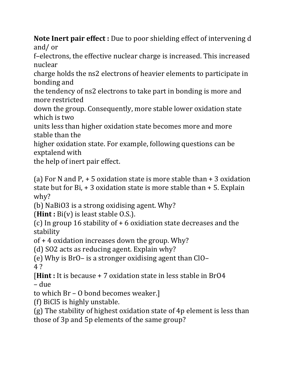**Note Inert pair effect :** Due to poor shielding effect of intervening d and/ or

f–electrons, the effective nuclear charge is increased. This increased nuclear

charge holds the ns2 electrons of heavier elements to participate in bonding and

the tendency of ns2 electrons to take part in bonding is more and more restricted

down the group. Consequently, more stable lower oxidation state which is two

units less than higher oxidation state becomes more and more stable than the

higher oxidation state. For example, following questions can be exptalend with

the help of inert pair effect.

(a) For N and P,  $+$  5 oxidation state is more stable than  $+$  3 oxidation state but for Bi, + 3 oxidation state is more stable than + 5. Explain why?

(b) NaBiO3 is a strong oxidising agent. Why?

(**Hint :** Bi(v) is least stable O.S.).

(c) In group 16 stability of + 6 oxidiation state decreases and the stability

of + 4 oxidation increases down the group. Why?

(d) SO2 acts as reducing agent. Explain why?

(e) Why is BrO– is a stronger oxidising agent than ClO– 4 ?

[**Hint :** It is because + 7 oxidation state in less stable in BrO4 – due

to which Br – O bond becomes weaker.]

(f) BiCl5 is highly unstable.

(g) The stability of highest oxidation state of 4p element is less than those of 3p and 5p elements of the same group?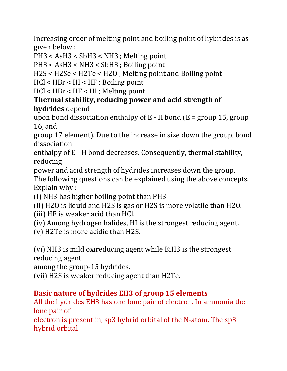Increasing order of melting point and boiling point of hybrides is as given below :

PH3 < AsH3 < SbH3 < NH3 ; Melting point

PH3 < AsH3 < NH3 < SbH3 ; Boiling point

H2S < H2Se < H2Te < H2O ; Melting point and Boiling point

HCl < HBr < HI < HF ; Boiling point

HCl < HBr < HF < HI ; Melting point

#### **Thermal stability, reducing power and acid strength of hydrides** depend

upon bond dissociation enthalpy of  $E - H$  bond  $(E = \text{group } 15, \text{group } 15)$ 16, and

group 17 element). Due to the increase in size down the group, bond dissociation

enthalpy of E - H bond decreases. Consequently, thermal stability, reducing

power and acid strength of hydrides increases down the group.

The following questions can be explained using the above concepts. Explain why :

(i) NH3 has higher boiling point than PH3.

(ii) H2O is liquid and H2S is gas or H2S is more volatile than H2O.

(iii) HE is weaker acid than HCl.

(iv) Among hydrogen halides, HI is the strongest reducing agent.

(v) H2Te is more acidic than H2S.

(vi) NH3 is mild oxireducing agent while BiH3 is the strongest reducing agent

among the group-15 hydrides.

(vii) H2S is weaker reducing agent than H2Te.

#### **Basic nature of hydrides EH3 of group 15 elements**

All the hydrides EH3 has one lone pair of electron. In ammonia the lone pair of

electron is present in, sp3 hybrid orbital of the N-atom. The sp3 hybrid orbital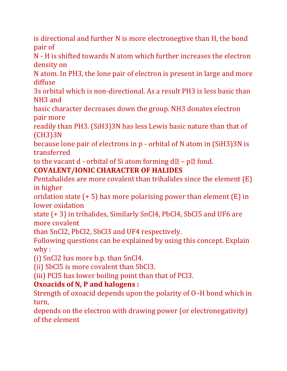is directional and further N is more electronegtive than H, the bond pair of

N - H is shifted towards N atom which further increases the electron density on

N atom. In PH3, the lone pair of electron is present in large and more diffuse

3s orbital which is non-directional. As a result PH3 is less basic than NH3 and

basic character decreases down the group. NH3 donates electron pair more

readily than PH3. (SiH3)3N has less Lewis basic nature than that of (CH3)3N

because lone pair of electrons in p - orbital of N atom in (SiH3)3N is transferred

to the vacant d - orbital of Si atom forming  $d\mathbb{Z}$  –  $p\mathbb{Z}$  fond. **COVALENT/IONIC CHARACTER OF HALIDES**

Pentahalides are more covalent than trihalides since the element (E) in higher

oridation state  $(+ 5)$  has more polarising power than element  $(E)$  in lower oxidation

state (+ 3) in trihalides, Similarly SnCl4, PbCl4, SbCl5 and UF6 are more covalent

than SnCl2, PbCl2, SbCl3 and UF4 respectively.

Following questions can be explained by using this concept. Explain why :

(i) SnCl2 has more b.p. than SnCl4.

(ii) SbCl5 is more covalent than SbCl3.

(iii) PCl5 has lower boiling point than that of PCl3.

#### **Oxoacids of N, P and halogens :**

Strength of oxoacid depends upon the polarity of O–H bond which in turn,

depends on the electron with drawing power (or electronegativity) of the element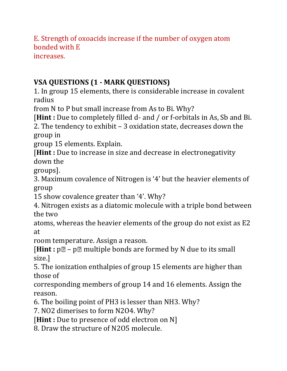E. Strength of oxoacids increase if the number of oxygen atom bonded with E increases.

#### **VSA QUESTIONS (1 - MARK QUESTIONS)**

1. In group 15 elements, there is considerable increase in covalent radius

from N to P but small increase from As to Bi. Why?

[**Hint :** Due to completely filled d- and / or f-orbitals in As, Sb and Bi.

2. The tendency to exhibit – 3 oxidation state, decreases down the group in

group 15 elements. Explain.

[**Hint :** Due to increase in size and decrease in electronegativity down the

groups].

3. Maximum covalence of Nitrogen is '4' but the heavier elements of group

15 show covalence greater than '4'. Why?

4. Nitrogen exists as a diatomic molecule with a triple bond between the two

atoms, whereas the heavier elements of the group do not exist as E2 at

room temperature. Assign a reason.

 $[Hint: p \mathbb{Z} - p \mathbb{Z}$  multiple bonds are formed by N due to its small size.]

5. The ionization enthalpies of group 15 elements are higher than those of

corresponding members of group 14 and 16 elements. Assign the reason.

6. The boiling point of PH3 is lesser than NH3. Why?

7. NO2 dimerises to form N2O4. Why?

[**Hint :** Due to presence of odd electron on N]

8. Draw the structure of N2O5 molecule.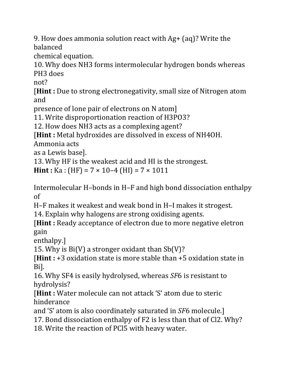9. How does ammonia solution react with Ag+ (aq)? Write the balanced

chemical equation.

10. Why does NH3 forms intermolecular hydrogen bonds whereas PH3 does

not?

[**Hint :** Due to strong electronegativity, small size of Nitrogen atom and

presence of lone pair of electrons on N atom]

11. Write disproportionation reaction of H3PO3?

12. How does NH3 acts as a complexing agent?

[**Hint :** Metal hydroxides are dissolved in excess of NH4OH.

Ammonia acts

as a Lewis base].

13. Why HF is the weakest acid and HI is the strongest.

**Hint** :  $Ka : (HF) = 7 \times 10-4$  (HI) = 7  $\times 1011$ 

Intermolecular H–bonds in H–F and high bond dissociation enthalpy of

H–F makes it weakest and weak bond in H–I makes it strogest.

14. Explain why halogens are strong oxidising agents.

[**Hint :** Ready acceptance of electron due to more negative eletron gain

enthalpy.]

15. Why is  $Bi(V)$  a stronger oxidant than  $Sb(V)$ ?

[**Hint :** +3 oxidation state is more stable than +5 oxidation state in Bi].

16. Why SF4 is easily hydrolysed, whereas *SF*6 is resistant to hydrolysis?

[**Hint :** Water molecule can not attack 'S' atom due to steric hinderance

and 'S' atom is also coordinately saturated in *SF*6 molecule.]

17. Bond dissociation enthalpy of F2 is less than that of Cl2. Why?

18. Write the reaction of PCl5 with heavy water.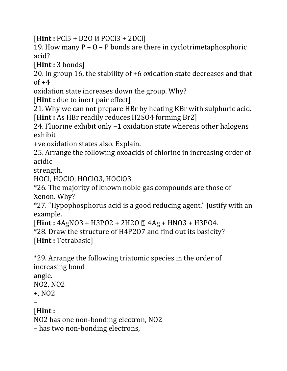[**Hint :** PCl5 + D2O POCl3 + 2DCl]

19. How many  $P - O - P$  bonds are there in cyclotrimetaphosphoric acid?

[**Hint :** 3 bonds]

20. In group 16, the stability of +6 oxidation state decreases and that  $of +4$ 

oxidation state increases down the group. Why?

[**Hint** : due to inert pair effect]

21. Why we can not prepare HBr by heating KBr with sulphuric acid. [**Hint :** As HBr readily reduces H2SO4 forming Br2]

24. Fluorine exhibit only –1 oxidation state whereas other halogens exhibit

+ve oxidation states also. Explain.

25. Arrange the following oxoacids of chlorine in increasing order of acidic

strength.

HOCl, HOClO, HOClO3, HOClO3

\*26. The majority of known noble gas compounds are those of Xenon. Why?

\*27. "Hypophosphorus acid is a good reducing agent." Justify with an example.

[**Hint :** 4AgNO3 + H3PO2 + 2H2O 4Ag + HNO3 + H3PO4.

\*28. Draw the structure of H4P2O7 and find out its basicity?

[**Hint**: Tetrabasic]

\*29. Arrange the following triatomic species in the order of increasing bond

angle. NO2, NO2

+, NO2

# –

[**Hint :**

NO2 has one non-bonding electron, NO2

– has two non-bonding electrons,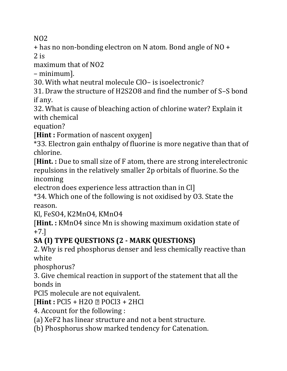NO2

+ has no non-bonding electron on N atom. Bond angle of NO +  $2$  is

maximum that of NO2

– minimum].

30. With what neutral molecule ClO– is isoelectronic?

31. Draw the structure of H2S2O8 and find the number of S–S bond if any.

32. What is cause of bleaching action of chlorine water? Explain it with chemical

equation?

[**Hint** : Formation of nascent oxygen]

\*33. Electron gain enthalpy of fluorine is more negative than that of chlorine.

[**Hint. :** Due to small size of F atom, there are strong interelectronic repulsions in the relatively smaller 2p orbitals of fluorine. So the incoming

electron does experience less attraction than in Cl]

\*34. Which one of the following is not oxidised by O3. State the reason.

Kl, FeSO4, K2MnO4, KMnO4

[**Hint. :** KMnO4 since Mn is showing maximum oxidation state of +7.]

# **SA (I) TYPE QUESTIONS (2 - MARK QUESTIONS)**

2. Why is red phosphorus denser and less chemically reactive than white

phosphorus?

3. Give chemical reaction in support of the statement that all the bonds in

PCl5 molecule are not equivalent.

[**Hint :** PCl5 + H2O POCl3 + 2HCl

4. Account for the following :

(a) XeF2 has linear structure and not a bent structure.

(b) Phosphorus show marked tendency for Catenation.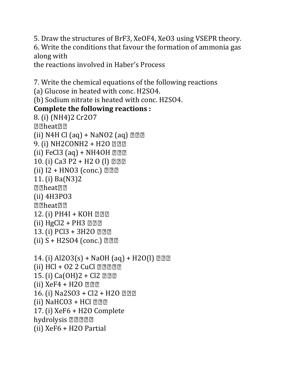5. Draw the structures of BrF3, XeOF4, XeO3 using VSEPR theory. 6. Write the conditions that favour the formation of ammonia gas along with

the reactions involved in Haber's Process

7. Write the chemical equations of the following reactions

(a) Glucose in heated with conc. H2SO4.

(b) Sodium nitrate is heated with conc. H2SO4.

#### **Complete the following reactions :**

```
8. (i) (NH4)2 Cr2O7
22heat22(ii) N4H Cl (aq) + NaNO2 (aq) 2229. (i) NH2CONH2 + H2O 222
(ii) FeCl3 (aq) + NH4OH \overline{222}10. (i) Ca3 P2 + H2 0 (l) 222
(ii) I2 + HNO3 (conc.) 222
11. (i) Ba(N3)2
22heat22(ii) 4H3PO3
22heat2212. (i) PH4I + KOH 
(ii) HgCl2 + PH3 222
13. (i) PCl3 + 3H2O 222
(ii) S + H2SO4 (conc.) 222
```

```
14. (i) Al2O3(s) + NaOH (aq) + H2O(l) 222
(ii) HCl + O2 2 CuCl 
15. (i) Ca(OH)2 + Cl2 222
(ii) XeF4 + H2O 
16. (i) Na2SO3 + Cl2 + H2O 222
(ii) NaHCO3 + HCl 22217. (i) XeF6 + H2O Complete
hydrolysis 22222
(ii) XeF6 + H2O Partial
```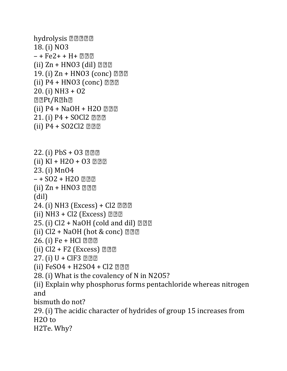```
hydrolysis 22222
18. (i) NO3
– + Fe2+ + H+ 
(i) Zn + HNO3 (dil) 222
19. (i) Zn + HNO3 (conc) 222
(ii) P4 + HNO3 (conc) 222
20. (i) NH3 + O2DOPt/ROhO
(ii) P4 + NaOH + H2O 222
21. (i) P4 + SOCl2 
(ii) P4 + SO2Cl2 222
22. (i) PbS + O3 
(ii) KI + H2O + O3 222
23. (i) MnO4
– + SO2 + H2O 
(ii) Zn + HNO3 222
(dil)
24. (i) NH3 (Excess) + Cl2 
(ii) NH3 + Cl2 (Excess) 222
25. (i) Cl2 + NaOH (cold and dil) 
(ii) Cl2 + NaOH (hot & conc) 222
26. (i) Fe + HCl 
(ii) Cl2 + F2 (Excess) 222
27. (i) U + ClF3 
(ii) FeSO4 + H2SO4 + Cl2 
28. (i) What is the covalency of N in N2O5?
(ii) Explain why phosphorus forms pentachloride whereas nitrogen 
and
bismuth do not?
29. (i) The acidic character of hydrides of group 15 increases from 
H2O to
H2Te. Why?
```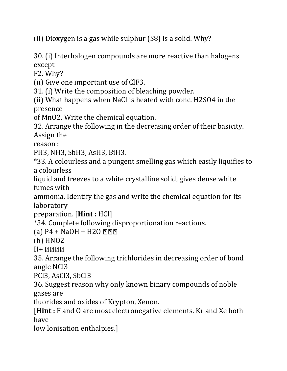(ii) Dioxygen is a gas while sulphur (S8) is a solid. Why?

30. (i) Interhalogen compounds are more reactive than halogens except

F2. Why?

(ii) Give one important use of ClF3.

31. (i) Write the composition of bleaching powder.

(ii) What happens when NaCl is heated with conc. H2SO4 in the presence

of MnO2. Write the chemical equation.

32. Arrange the following in the decreasing order of their basicity. Assign the

reason :

PH3, NH3, SbH3, AsH3, BiH3.

\*33. A colourless and a pungent smelling gas which easily liquifies to a colourless

liquid and freezes to a white crystalline solid, gives dense white fumes with

ammonia. Identify the gas and write the chemical equation for its laboratory

preparation. [**Hint :** HCl]

\*34. Complete following disproportionation reactions.

 $(a)$  P4 + NaOH + H2O 222

(b) HNO2

 $H + 2222$ 

35. Arrange the following trichlorides in decreasing order of bond angle NCl3

PCl3, AsCl3, SbCl3

36. Suggest reason why only known binary compounds of noble gases are

fluorides and oxides of Krypton, Xenon.

[**Hint :** F and O are most electronegative elements. Kr and Xe both have

low lonisation enthalpies.]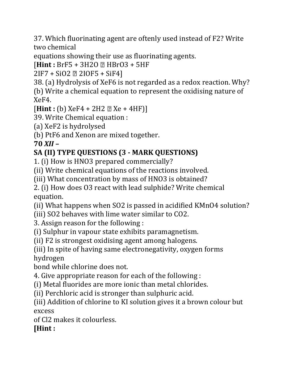37. Which fluorinating agent are oftenly used instead of F2? Write two chemical

equations showing their use as fluorinating agents.

[**Hint :** BrF5 + 3H2O HBrO3 + 5HF

2IF7 + SiO2 2IOF5 + SiF4]

38. (a) Hydrolysis of XeF6 is not regarded as a redox reaction. Why? (b) Write a chemical equation to represent the oxidising nature of XeF4.

 $[Hint: (b) XeF4 + 2H2 \n  $\n \n 2Xe + 4HF]$$ 

39. Write Chemical equation :

(a) XeF2 is hydrolysed

(b) PtF6 and Xenon are mixed together.

**70** *XII –*

### **SA (II) TYPE QUESTIONS (3 - MARK QUESTIONS)**

1. (i) How is HNO3 prepared commercially?

(ii) Write chemical equations of the reactions involved.

(iii) What concentration by mass of HNO3 is obtained?

2. (i) How does O3 react with lead sulphide? Write chemical equation.

(ii) What happens when SO2 is passed in acidified KMnO4 solution? (iii) SO2 behaves with lime water similar to CO2.

3. Assign reason for the following :

(i) Sulphur in vapour state exhibits paramagnetism.

(ii) F2 is strongest oxidising agent among halogens.

(iii) In spite of having same electronegativity, oxygen forms hydrogen

bond while chlorine does not.

4. Give appropriate reason for each of the following :

(i) Metal fluorides are more ionic than metal chlorides.

(ii) Perchloric acid is stronger than sulphuric acid.

(iii) Addition of chlorine to KI solution gives it a brown colour but excess

of Cl2 makes it colourless.

**[Hint :**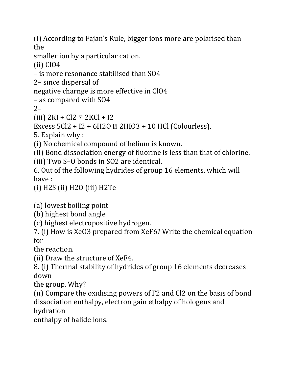(i) According to Fajan's Rule, bigger ions more are polarised than the

smaller ion by a particular cation.

(ii) ClO4

– is more resonance stabilised than SO4

2– since dispersal of

negative charnge is more effective in ClO4

– as compared with SO4

 $2-$ 

(iii)  $2KI + Cl2 \n <sup>2</sup> ZKCl + I2$ 

Excess  $5Cl2 + I2 + 6H2O \text{ } \textcircled{2}$  2HIO3 + 10 HCl (Colourless).

5. Explain why :

(i) No chemical compound of helium is known.

(ii) Bond dissociation energy of fluorine is less than that of chlorine.

(iii) Two S–O bonds in SO2 are identical.

6. Out of the following hydrides of group 16 elements, which will have :

(i) H2S (ii) H2O (iii) H2Te

(a) lowest boiling point

(b) highest bond angle

(c) highest electropositive hydrogen.

7. (i) How is XeO3 prepared from XeF6? Write the chemical equation for

the reaction.

(ii) Draw the structure of XeF4.

8. (i) Thermal stability of hydrides of group 16 elements decreases down

the group. Why?

(ii) Compare the oxidising powers of F2 and Cl2 on the basis of bond dissociation enthalpy, electron gain ethalpy of hologens and hydration

enthalpy of halide ions.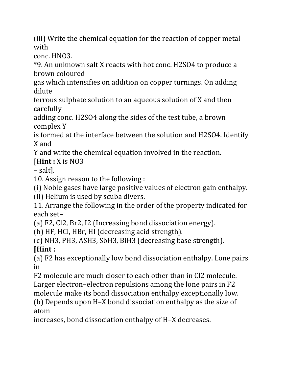(iii) Write the chemical equation for the reaction of copper metal with

conc. HNO3.

\*9. An unknown salt X reacts with hot conc. H2SO4 to produce a brown coloured

gas which intensifies on addition on copper turnings. On adding dilute

ferrous sulphate solution to an aqueous solution of X and then carefully

adding conc. H2SO4 along the sides of the test tube, a brown complex Y

is formed at the interface between the solution and H2SO4. Identify X and

Y and write the chemical equation involved in the reaction.

[**Hint :** X is NO3

– salt].

10. Assign reason to the following :

(i) Noble gases have large positive values of electron gain enthalpy.

(ii) Helium is used by scuba divers.

11. Arrange the following in the order of the property indicated for each set–

(a) F2, Cl2, Br2, I2 (Increasing bond dissociation energy).

(b) HF, HCl, HBr, HI (decreasing acid strength).

(c) NH3, PH3, ASH3, SbH3, BiH3 (decreasing base strength).

# **[Hint :**

(a) F2 has exceptionally low bond dissociation enthalpy. Lone pairs in

F2 molecule are much closer to each other than in Cl2 molecule. Larger electron–electron repulsions among the lone pairs in F2

molecule make its bond dissociation enthalpy exceptionally low. (b) Depends upon H–X bond dissociation enthalpy as the size of

atom

increases, bond dissociation enthalpy of H–X decreases.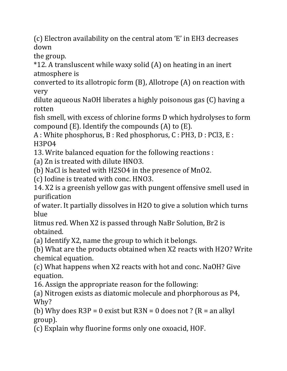(c) Electron availability on the central atom 'E' in EH3 decreases down

the group.

\*12. A transluscent while waxy solid (A) on heating in an inert atmosphere is

converted to its allotropic form (B), Allotrope (A) on reaction with very

dilute aqueous NaOH liberates a highly poisonous gas (C) having a rotten

fish smell, with excess of chlorine forms D which hydrolyses to form compound (E). Identify the compounds (A) to (E).

A : White phosphorus, B : Red phosphorus, C : PH3, D : PCl3, E : H3PO4

13. Write balanced equation for the following reactions :

(a) Zn is treated with dilute HNO3.

(b) NaCl is heated with H2SO4 in the presence of MnO2.

(c) Iodine is treated with conc. HNO3.

14. X2 is a greenish yellow gas with pungent offensive smell used in purification

of water. It partially dissolves in H2O to give a solution which turns blue

litmus red. When X2 is passed through NaBr Solution, Br2 is obtained.

(a) Identify X2, name the group to which it belongs.

(b) What are the products obtained when X2 reacts with H2O? Write chemical equation.

(c) What happens when X2 reacts with hot and conc. NaOH? Give equation.

16. Assign the appropriate reason for the following:

(a) Nitrogen exists as diatomic molecule and phorphorous as P4, Why?

(b) Why does  $R3P = 0$  exist but  $R3N = 0$  does not ?  $(R = an \text{ alkyl})$ group).

(c) Explain why fluorine forms only one oxoacid, HOF.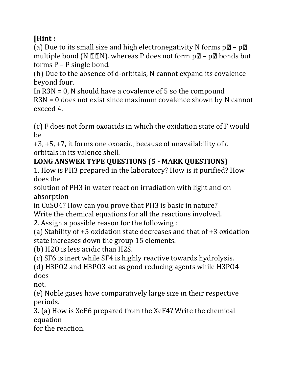### **[Hint :**

(a) Due to its small size and high electronegativity N forms  $p \mathbb{Z} - p \mathbb{Z}$ multiple bond (N  $\mathbb{R} \mathbb{R}$ ). whereas P does not form  $p \mathbb{Z} - p \mathbb{Z}$  bonds but forms P – P single bond.

(b) Due to the absence of d-orbitals, N cannot expand its covalence beyond four.

In R3N = 0, N should have a covalence of 5 so the compound R3N = 0 does not exist since maximum covalence shown by N cannot exceed 4.

(c) F does not form oxoacids in which the oxidation state of F would be

+3, +5, +7, it forms one oxoacid, because of unavailability of d orbitals in its valence shell.

# **LONG ANSWER TYPE QUESTIONS (5 - MARK QUESTIONS)**

1. How is PH3 prepared in the laboratory? How is it purified? How does the

solution of PH3 in water react on irradiation with light and on absorption

in CuSO4? How can you prove that PH3 is basic in nature? Write the chemical equations for all the reactions involved.

2. Assign a possible reason for the following :

(a) Stability of +5 oxidation state decreases and that of +3 oxidation state increases down the group 15 elements.

(b) H2O is less acidic than H2S.

(c) SF6 is inert while SF4 is highly reactive towards hydrolysis.

(d) H3PO2 and H3PO3 act as good reducing agents while H3PO4 does

not.

(e) Noble gases have comparatively large size in their respective periods.

3. (a) How is XeF6 prepared from the XeF4? Write the chemical equation

for the reaction.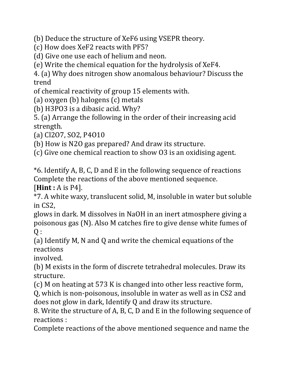(b) Deduce the structure of XeF6 using VSEPR theory.

- (c) How does XeF2 reacts with PF5?
- (d) Give one use each of helium and neon.

(e) Write the chemical equation for the hydrolysis of XeF4.

4. (a) Why does nitrogen show anomalous behaviour? Discuss the trend

of chemical reactivity of group 15 elements with.

- (a) oxygen (b) halogens (c) metals
- (b) H3PO3 is a dibasic acid. Why?

5. (a) Arrange the following in the order of their increasing acid strength.

(a) Cl2O7, SO2, P4O10

(b) How is N2O gas prepared? And draw its structure.

(c) Give one chemical reaction to show O3 is an oxidising agent.

\*6. Identify A, B, C, D and E in the following sequence of reactions Complete the reactions of the above mentioned sequence.

[**Hint :** A is P4].

\*7. A white waxy, translucent solid, M, insoluble in water but soluble in CS2,

glows in dark. M dissolves in NaOH in an inert atmosphere giving a poisonous gas (N). Also M catches fire to give dense white fumes of  $0:$ 

(a) Identify M, N and Q and write the chemical equations of the reactions

involved.

(b) M exists in the form of discrete tetrahedral molecules. Draw its structure.

(c) M on heating at 573 K is changed into other less reactive form, Q, which is non-poisonous, insoluble in water as well as in CS2 and does not glow in dark, Identify Q and draw its structure.

8. Write the structure of A, B, C, D and E in the following sequence of reactions :

Complete reactions of the above mentioned sequence and name the